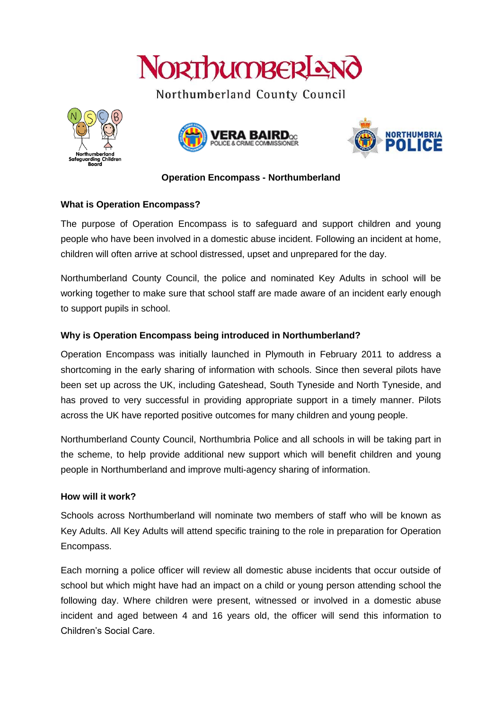

Northumberland County Council







## **Operation Encompass - Northumberland**

## **What is Operation Encompass?**

The purpose of Operation Encompass is to safeguard and support children and young people who have been involved in a domestic abuse incident. Following an incident at home, children will often arrive at school distressed, upset and unprepared for the day.

Northumberland County Council, the police and nominated Key Adults in school will be working together to make sure that school staff are made aware of an incident early enough to support pupils in school.

# **Why is Operation Encompass being introduced in Northumberland?**

Operation Encompass was initially launched in Plymouth in February 2011 to address a shortcoming in the early sharing of information with schools. Since then several pilots have been set up across the UK, including Gateshead, South Tyneside and North Tyneside, and has proved to very successful in providing appropriate support in a timely manner. Pilots across the UK have reported positive outcomes for many children and young people.

Northumberland County Council, Northumbria Police and all schools in will be taking part in the scheme, to help provide additional new support which will benefit children and young people in Northumberland and improve multi-agency sharing of information.

## **How will it work?**

Schools across Northumberland will nominate two members of staff who will be known as Key Adults. All Key Adults will attend specific training to the role in preparation for Operation Encompass.

Each morning a police officer will review all domestic abuse incidents that occur outside of school but which might have had an impact on a child or young person attending school the following day. Where children were present, witnessed or involved in a domestic abuse incident and aged between 4 and 16 years old, the officer will send this information to Children's Social Care.